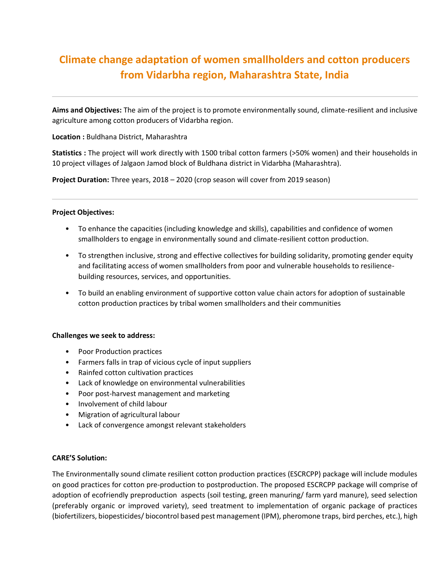## **Climate change adaptation of women smallholders and cotton producers from Vidarbha region, Maharashtra State, India**

**Aims and Objectives:** The aim of the project is to promote environmentally sound, climate-resilient and inclusive agriculture among cotton producers of Vidarbha region.

**Location :** Buldhana District, Maharashtra

**Statistics :** The project will work directly with 1500 tribal cotton farmers (>50% women) and their households in 10 project villages of Jalgaon Jamod block of Buldhana district in Vidarbha (Maharashtra).

**Project Duration:** Three years, 2018 – 2020 (crop season will cover from 2019 season)

## **Project Objectives:**

- To enhance the capacities (including knowledge and skills), capabilities and confidence of women smallholders to engage in environmentally sound and climate-resilient cotton production.
- To strengthen inclusive, strong and effective collectives for building solidarity, promoting gender equity and facilitating access of women smallholders from poor and vulnerable households to resiliencebuilding resources, services, and opportunities.
- To build an enabling environment of supportive cotton value chain actors for adoption of sustainable cotton production practices by tribal women smallholders and their communities

## **Challenges we seek to address:**

- Poor Production practices
- Farmers falls in trap of vicious cycle of input suppliers
- Rainfed cotton cultivation practices
- Lack of knowledge on environmental vulnerabilities
- Poor post-harvest management and marketing
- Involvement of child labour
- Migration of agricultural labour
- Lack of convergence amongst relevant stakeholders

## **CARE'S Solution:**

The Environmentally sound climate resilient cotton production practices (ESCRCPP) package will include modules on good practices for cotton pre-production to postproduction. The proposed ESCRCPP package will comprise of adoption of ecofriendly preproduction aspects (soil testing, green manuring/ farm yard manure), seed selection (preferably organic or improved variety), seed treatment to implementation of organic package of practices (biofertilizers, biopesticides/ biocontrol based pest management (IPM), pheromone traps, bird perches, etc.), high